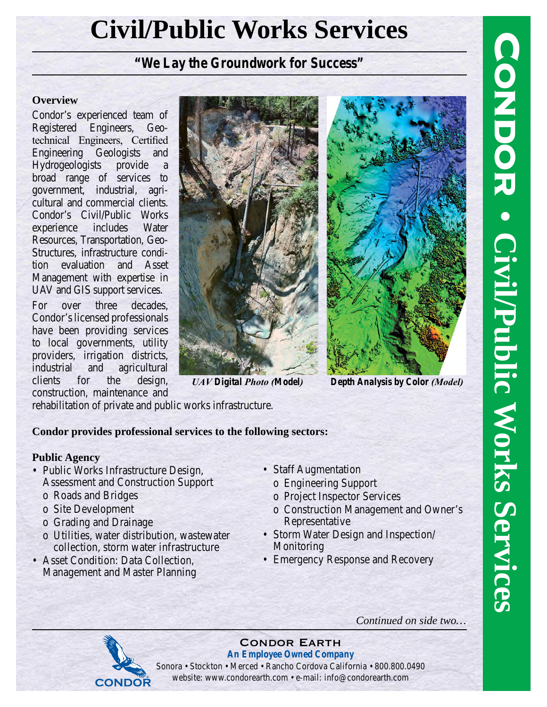# **Civil/Public Works Services**

## *"We Lay the Groundwork for Success"*

#### **Overview**

Condor's experienced team of Registered Engineers, Geotechnical Engineers, Certified Engineering Geologists and Hydrogeologists provide a broad range of services to government, industrial, agricultural and commercial clients. Condor's Civil/Public Works experience includes Water Resources, Transportation, Geo-Structures, infrastructure condition evaluation and Asset Management with expertise in UAV and GIS support services.

For over three decades, Condor's licensed professionals have been providing services to local governments, utility providers, irrigation districts, industrial and agricultural clients for the design, construction, maintenance and





*UAV Digital Photo (Model) Depth Analysis by Color (Model)*

rehabilitation of private and public works infrastructure.

#### **Condor provides professional services to the following sectors:**

#### **Public Agency**

- Public Works Infrastructure Design, Assessment and Construction Support
	- o Roads and Bridges
	- o Site Development
	- o Grading and Drainage
	- o Utilities, water distribution, wastewater collection, storm water infrastructure
- Asset Condition: Data Collection, Management and Master Planning
- Staff Augmentation
	- o Engineering Support
	- o Project Inspector Services
	- o Construction Management and Owner's Representative
- Storm Water Design and Inspection/ Monitoring
- Emergency Response and Recovery

*Continued on side two…*



#### Condor Earth *An Employee Owned Company*

Sonora • Stockton • Merced • Rancho Cordova California • 800.800.0490 website: www.condorearth.com • e-mail: info@condorearth.com